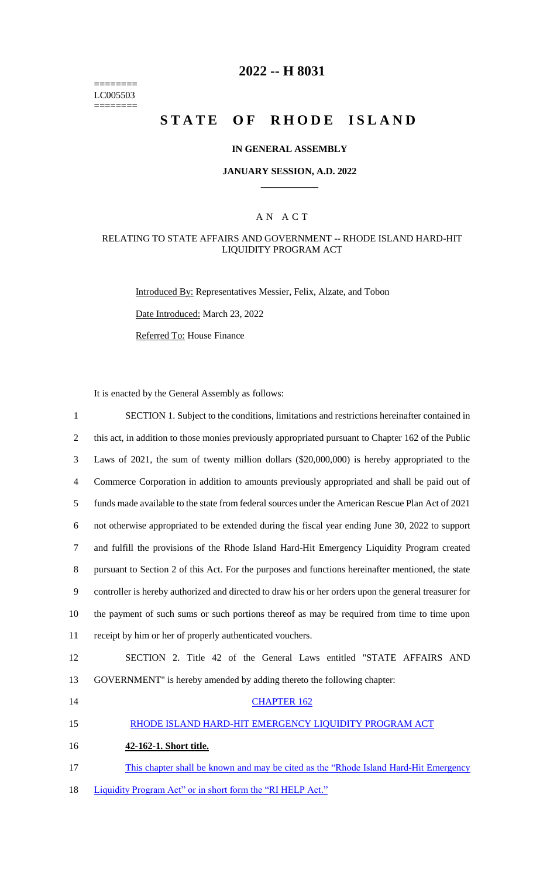======== LC005503  $=$ 

### **2022 -- H 8031**

# STATE OF RHODE ISLAND

### **IN GENERAL ASSEMBLY**

#### **JANUARY SESSION, A.D. 2022 \_\_\_\_\_\_\_\_\_\_\_\_**

### A N A C T

#### RELATING TO STATE AFFAIRS AND GOVERNMENT -- RHODE ISLAND HARD-HIT LIQUIDITY PROGRAM ACT

Introduced By: Representatives Messier, Felix, Alzate, and Tobon

Date Introduced: March 23, 2022

Referred To: House Finance

It is enacted by the General Assembly as follows:

| $\mathbf{1}$   | SECTION 1. Subject to the conditions, limitations and restrictions hereinafter contained in           |
|----------------|-------------------------------------------------------------------------------------------------------|
| $\mathfrak{2}$ | this act, in addition to those monies previously appropriated pursuant to Chapter 162 of the Public   |
| 3              | Laws of 2021, the sum of twenty million dollars $(\$20,000,000)$ is hereby appropriated to the        |
| 4              | Commerce Corporation in addition to amounts previously appropriated and shall be paid out of          |
| 5              | funds made available to the state from federal sources under the American Rescue Plan Act of 2021     |
| 6              | not otherwise appropriated to be extended during the fiscal year ending June 30, 2022 to support      |
| 7              | and fulfill the provisions of the Rhode Island Hard-Hit Emergency Liquidity Program created           |
| 8              | pursuant to Section 2 of this Act. For the purposes and functions hereinafter mentioned, the state    |
| 9              | controller is hereby authorized and directed to draw his or her orders upon the general treasurer for |
| 10             | the payment of such sums or such portions thereof as may be required from time to time upon           |
| 11             | receipt by him or her of properly authenticated vouchers.                                             |
| 12             | SECTION 2. Title 42 of the General Laws entitled "STATE AFFAIRS AND                                   |
| 13             | GOVERNMENT" is hereby amended by adding thereto the following chapter:                                |
| 14             | <b>CHAPTER 162</b>                                                                                    |
| 15             | RHODE ISLAND HARD-HIT EMERGENCY LIQUIDITY PROGRAM ACT                                                 |
| 16             | 42-162-1. Short title.                                                                                |
| 17             | This chapter shall be known and may be cited as the "Rhode Island Hard-Hit Emergency"                 |
| 18             | Liquidity Program Act" or in short form the "RI HELP Act."                                            |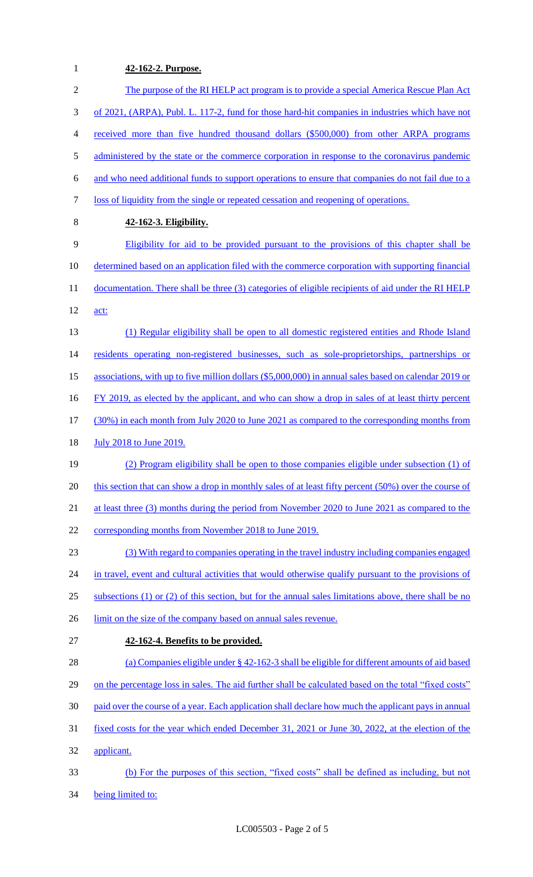## **42-162-2. Purpose.**

| $\overline{2}$ | The purpose of the RI HELP act program is to provide a special America Rescue Plan Act                    |
|----------------|-----------------------------------------------------------------------------------------------------------|
| 3              | of 2021, (ARPA), Publ. L. 117-2, fund for those hard-hit companies in industries which have not           |
| $\overline{4}$ | received more than five hundred thousand dollars (\$500,000) from other ARPA programs                     |
| 5              | administered by the state or the commerce corporation in response to the coronavirus pandemic             |
| 6              | and who need additional funds to support operations to ensure that companies do not fail due to a         |
| 7              | loss of liquidity from the single or repeated cessation and reopening of operations.                      |
| $\,8\,$        | 42-162-3. Eligibility.                                                                                    |
| 9              | Eligibility for aid to be provided pursuant to the provisions of this chapter shall be                    |
| 10             | determined based on an application filed with the commerce corporation with supporting financial          |
| 11             | documentation. There shall be three (3) categories of eligible recipients of aid under the RI HELP        |
| 12             | act:                                                                                                      |
| 13             | (1) Regular eligibility shall be open to all domestic registered entities and Rhode Island                |
| 14             | residents operating non-registered businesses, such as sole-proprietorships, partnerships or              |
| 15             | associations, with up to five million dollars (\$5,000,000) in annual sales based on calendar 2019 or     |
| 16             | FY 2019, as elected by the applicant, and who can show a drop in sales of at least thirty percent         |
| 17             | (30%) in each month from July 2020 to June 2021 as compared to the corresponding months from              |
| 18             | <b>July 2018 to June 2019.</b>                                                                            |
| 19             | (2) Program eligibility shall be open to those companies eligible under subsection (1) of                 |
| 20             | this section that can show a drop in monthly sales of at least fifty percent (50%) over the course of     |
| 21             | at least three (3) months during the period from November 2020 to June 2021 as compared to the            |
| 22             | corresponding months from November 2018 to June 2019.                                                     |
| 23             | (3) With regard to companies operating in the travel industry including companies engaged                 |
| 24             | in travel, event and cultural activities that would otherwise qualify pursuant to the provisions of       |
| 25             | subsections $(1)$ or $(2)$ of this section, but for the annual sales limitations above, there shall be no |
| 26             | limit on the size of the company based on annual sales revenue.                                           |
| 27             | 42-162-4. Benefits to be provided.                                                                        |
| 28             | (a) Companies eligible under $\S$ 42-162-3 shall be eligible for different amounts of aid based           |
| 29             | on the percentage loss in sales. The aid further shall be calculated based on the total "fixed costs"     |
| 30             | paid over the course of a year. Each application shall declare how much the applicant pays in annual      |
| 31             | fixed costs for the year which ended December 31, 2021 or June 30, 2022, at the election of the           |
| 32             | applicant.                                                                                                |
| 33             | (b) For the purposes of this section, "fixed costs" shall be defined as including, but not                |
| 34             | being limited to:                                                                                         |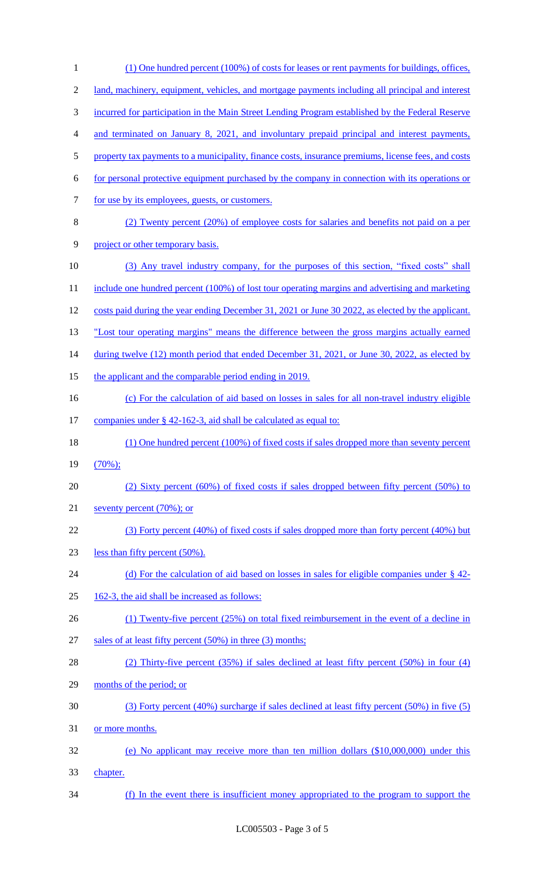| $\mathbf{1}$     | (1) One hundred percent (100%) of costs for leases or rent payments for buildings, offices,         |
|------------------|-----------------------------------------------------------------------------------------------------|
| $\overline{2}$   | land, machinery, equipment, vehicles, and mortgage payments including all principal and interest    |
| 3                | incurred for participation in the Main Street Lending Program established by the Federal Reserve    |
| $\overline{4}$   | and terminated on January 8, 2021, and involuntary prepaid principal and interest payments,         |
| 5                | property tax payments to a municipality, finance costs, insurance premiums, license fees, and costs |
| 6                | for personal protective equipment purchased by the company in connection with its operations or     |
| $\boldsymbol{7}$ | for use by its employees, guests, or customers.                                                     |
| $8\,$            | (2) Twenty percent (20%) of employee costs for salaries and benefits not paid on a per              |
| 9                | project or other temporary basis.                                                                   |
| 10               | (3) Any travel industry company, for the purposes of this section, "fixed costs" shall              |
| 11               | include one hundred percent (100%) of lost tour operating margins and advertising and marketing     |
| 12               | costs paid during the year ending December 31, 2021 or June 30 2022, as elected by the applicant.   |
| 13               | "Lost tour operating margins" means the difference between the gross margins actually earned        |
| 14               | during twelve (12) month period that ended December 31, 2021, or June 30, 2022, as elected by       |
| 15               | the applicant and the comparable period ending in 2019.                                             |
| 16               | (c) For the calculation of aid based on losses in sales for all non-travel industry eligible        |
| 17               | companies under § 42-162-3, aid shall be calculated as equal to:                                    |
| 18               | (1) One hundred percent (100%) of fixed costs if sales dropped more than seventy percent            |
| 19               | $(70\%)$ ;                                                                                          |
| 20               | (2) Sixty percent (60%) of fixed costs if sales dropped between fifty percent (50%) to              |
| 21               | seventy percent $(70\%)$ ; or                                                                       |
| 22               | (3) Forty percent (40%) of fixed costs if sales dropped more than forty percent (40%) but           |
| 23               | less than fifty percent (50%).                                                                      |
| 24               | (d) For the calculation of aid based on losses in sales for eligible companies under $\S$ 42-       |
| 25               | 162-3, the aid shall be increased as follows:                                                       |
| 26               | $(1)$ Twenty-five percent $(25%)$ on total fixed reimbursement in the event of a decline in         |
| 27               | sales of at least fifty percent $(50\%)$ in three $(3)$ months;                                     |
| 28               | (2) Thirty-five percent $(35%)$ if sales declined at least fifty percent $(50%)$ in four $(4)$      |
| 29               | months of the period; or                                                                            |
| 30               | (3) Forty percent (40%) surcharge if sales declined at least fifty percent (50%) in five (5)        |
| 31               | or more months.                                                                                     |
| 32               | (e) No applicant may receive more than ten million dollars $(\$10,000,000)$ under this              |
| 33               | chapter.                                                                                            |
| 34               | (f) In the event there is insufficient money appropriated to the program to support the             |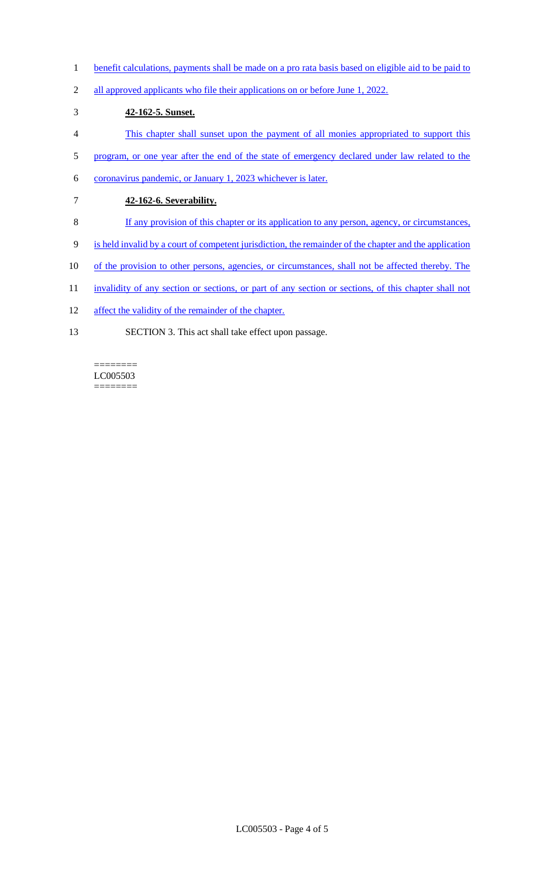- 1 benefit calculations, payments shall be made on a pro rata basis based on eligible aid to be paid to
- 2 all approved applicants who file their applications on or before June 1, 2022.

### 3 **42-162-5. Sunset.**

- 4 This chapter shall sunset upon the payment of all monies appropriated to support this
- 5 program, or one year after the end of the state of emergency declared under law related to the
- 6 coronavirus pandemic, or January 1, 2023 whichever is later.
- 7 **42-162-6. Severability.**
- 8 If any provision of this chapter or its application to any person, agency, or circumstances,
- 9 is held invalid by a court of competent jurisdiction, the remainder of the chapter and the application
- 10 of the provision to other persons, agencies, or circumstances, shall not be affected thereby. The
- 11 invalidity of any section or sections, or part of any section or sections, of this chapter shall not
- 12 affect the validity of the remainder of the chapter.
- 13 SECTION 3. This act shall take effect upon passage.

#### LC005503  $=$

========